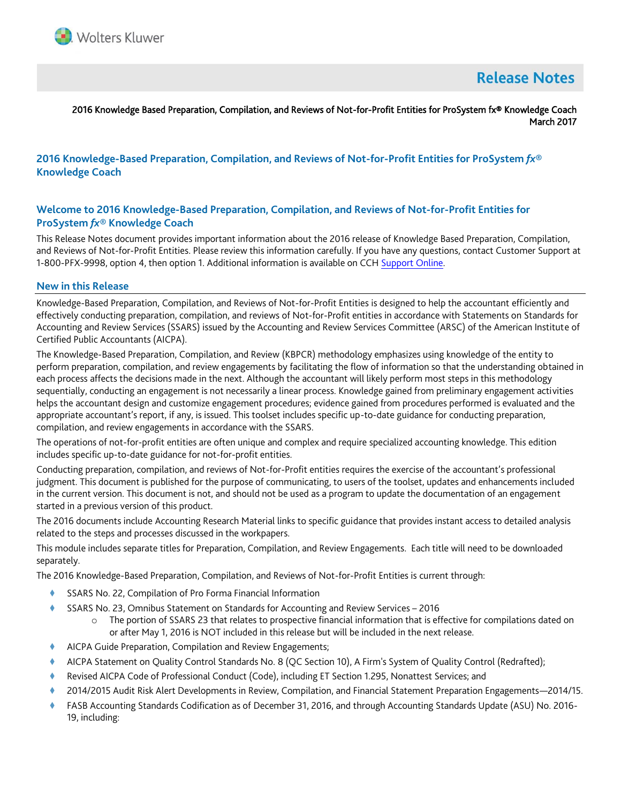

# **Release Notes**

#### 2016 Knowledge Based Preparation, Compilation, and Reviews of Not-for-Profit Entities for ProSystem fx® Knowledge Coach March 2017

# **2016 Knowledge-Based Preparation, Compilation, and Reviews of Not-for-Profit Entities for ProSystem** *fx***® Knowledge Coach**

# **Welcome to 2016 Knowledge-Based Preparation, Compilation, and Reviews of Not-for-Profit Entities for ProSystem** *fx***® Knowledge Coach**

This Release Notes document provides important information about the 2016 release of Knowledge Based Preparation, Compilation, and Reviews of Not-for-Profit Entities. Please review this information carefully. If you have any questions, contact Customer Support at 1-800-PFX-9998, option 4, then option 1. Additional information is available on CCH [Support Online.](http://support.cch.com/productsupport/)

#### **New in this Release**

Knowledge-Based Preparation, Compilation, and Reviews of Not-for-Profit Entities is designed to help the accountant efficiently and effectively conducting preparation, compilation, and reviews of Not-for-Profit entities in accordance with Statements on Standards for Accounting and Review Services (SSARS) issued by the Accounting and Review Services Committee (ARSC) of the American Institute of Certified Public Accountants (AICPA).

The Knowledge-Based Preparation, Compilation, and Review (KBPCR) methodology emphasizes using knowledge of the entity to perform preparation, compilation, and review engagements by facilitating the flow of information so that the understanding obtained in each process affects the decisions made in the next. Although the accountant will likely perform most steps in this methodology sequentially, conducting an engagement is not necessarily a linear process. Knowledge gained from preliminary engagement activities helps the accountant design and customize engagement procedures; evidence gained from procedures performed is evaluated and the appropriate accountant's report, if any, is issued. This toolset includes specific up-to-date guidance for conducting preparation, compilation, and review engagements in accordance with the SSARS.

The operations of not-for-profit entities are often unique and complex and require specialized accounting knowledge. This edition includes specific up-to-date guidance for not-for-profit entities.

Conducting preparation, compilation, and reviews of Not-for-Profit entities requires the exercise of the accountant's professional judgment. This document is published for the purpose of communicating, to users of the toolset, updates and enhancements included in the current version. This document is not, and should not be used as a program to update the documentation of an engagement started in a previous version of this product.

The 2016 documents include Accounting Research Material links to specific guidance that provides instant access to detailed analysis related to the steps and processes discussed in the workpapers.

This module includes separate titles for Preparation, Compilation, and Review Engagements. Each title will need to be downloaded separately.

The 2016 Knowledge-Based Preparation, Compilation, and Reviews of Not-for-Profit Entities is current through:

- SSARS No. 22, Compilation of Pro Forma Financial Information
- SSARS No. 23, Omnibus Statement on Standards for Accounting and Review Services 2016
	- $\circ$  The portion of SSARS 23 that relates to prospective financial information that is effective for compilations dated on or after May 1, 2016 is NOT included in this release but will be included in the next release.
- AICPA Guide Preparation, Compilation and Review Engagements;
- AICPA Statement on Quality Control Standards No. 8 (QC Section 10), A Firm's System of Quality Control (Redrafted);
- Revised AICPA Code of Professional Conduct (Code), including ET Section 1.295, Nonattest Services; and
- 2014/2015 Audit Risk Alert Developments in Review, Compilation, and Financial Statement Preparation Engagements—2014/15.
- FASB Accounting Standards Codification as of December 31, 2016, and through Accounting Standards Update (ASU) No. 2016- 19, including: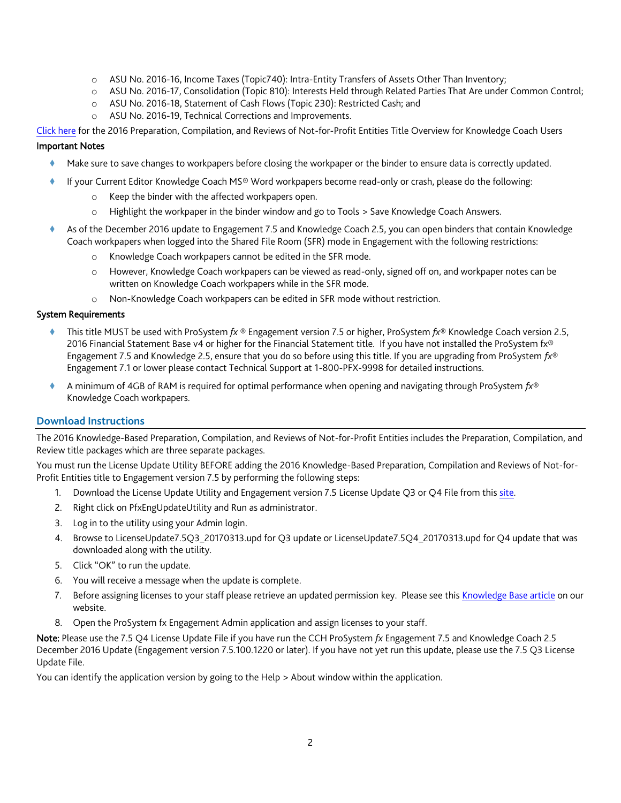- o ASU No. 2016-16, Income Taxes (Topic740): Intra-Entity Transfers of Assets Other Than Inventory;
- o ASU No. 2016-17, Consolidation (Topic 810): Interests Held through Related Parties That Are under Common Control;
- o ASU No. 2016-18, Statement of Cash Flows (Topic 230): Restricted Cash; and
- o ASU No. 2016-19, Technical Corrections and Improvements.

[Click here](http://support.cch.com/updates/KnowledgeCoach/pdf/guides_tab/2016%20NFP-PCR%20Title%20Overview%20for%20Knowledge%20Coach%20Users.pdf) for the 2016 Preparation, Compilation, and Reviews of Not-for-Profit Entities Title Overview for Knowledge Coach Users

## Important Notes

- Make sure to save changes to workpapers before closing the workpaper or the binder to ensure data is correctly updated.
- If your Current Editor Knowledge Coach MS® Word workpapers become read-only or crash, please do the following:
	- o Keep the binder with the affected workpapers open.
	- o Highlight the workpaper in the binder window and go to Tools > Save Knowledge Coach Answers.
- As of the December 2016 update to Engagement 7.5 and Knowledge Coach 2.5, you can open binders that contain Knowledge Coach workpapers when logged into the Shared File Room (SFR) mode in Engagement with the following restrictions:
	- o Knowledge Coach workpapers cannot be edited in the SFR mode.
	- o However, Knowledge Coach workpapers can be viewed as read-only, signed off on, and workpaper notes can be written on Knowledge Coach workpapers while in the SFR mode.
	- o Non-Knowledge Coach workpapers can be edited in SFR mode without restriction.

## System Requirements

- This title MUST be used with ProSystem *fx* ® Engagement version 7.5 or higher, ProSystem *fx*® Knowledge Coach version 2.5, 2016 Financial Statement Base v4 or higher for the Financial Statement title. If you have not installed the ProSystem fx® Engagement 7.5 and Knowledge 2.5, ensure that you do so before using this title. If you are upgrading from ProSystem *fx*® Engagement 7.1 or lower please contact Technical Support at 1-800-PFX-9998 for detailed instructions.
- A minimum of 4GB of RAM is required for optimal performance when opening and navigating through ProSystem *fx*® Knowledge Coach workpapers.

# **Download Instructions**

The 2016 Knowledge-Based Preparation, Compilation, and Reviews of Not-for-Profit Entities includes the Preparation, Compilation, and Review title packages which are three separate packages.

You must run the License Update Utility BEFORE adding the 2016 Knowledge-Based Preparation, Compilation and Reviews of Not-for-Profit Entities title to Engagement version 7.5 by performing the following steps:

- 1. Download the License Update Utility and Engagement version 7.5 License Update Q3 or Q4 File from this [site.](https://support.cch.com/updates/Engagement/#engagementLicenseFiles)
- 2. Right click on PfxEngUpdateUtility and Run as administrator.
- 3. Log in to the utility using your Admin login.
- 4. Browse to LicenseUpdate7.5Q3\_20170313.upd for Q3 update or LicenseUpdate7.5Q4\_20170313.upd for Q4 update that was downloaded along with the utility.
- 5. Click "OK" to run the update.
- 6. You will receive a message when the update is complete.
- 7. Before assigning licenses to your staff please retrieve an updated permission key. Please see this [Knowledge Base article](https://support.cch.com/kb/solution.aspx/sw3937) on our website.
- 8. Open the ProSystem fx Engagement Admin application and assign licenses to your staff.

Note: Please use the 7.5 Q4 License Update File if you have run the CCH ProSystem *fx* Engagement 7.5 and Knowledge Coach 2.5 December 2016 Update (Engagement version 7.5.100.1220 or later). If you have not yet run this update, please use the 7.5 Q3 License Update File.

You can identify the application version by going to the Help > About window within the application.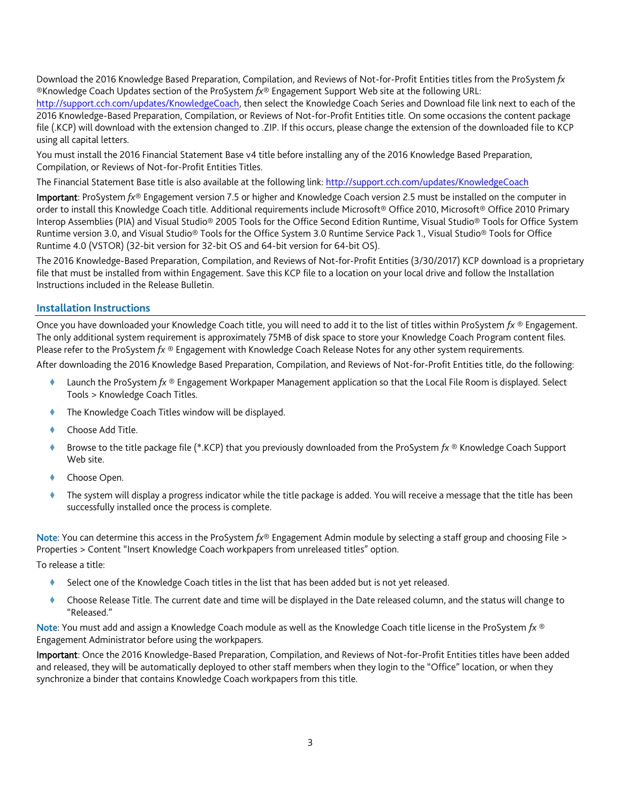Download the 2016 Knowledge Based Preparation, Compilation, and Reviews of Not-for-Profit Entities titles from the ProSystem *fx* ®Knowledge Coach Updates section of the ProSystem *fx*® Engagement Support Web site at the following URL: [http://support.cch.com/updates/KnowledgeCoach,](http://support.cch.com/updates/KnowledgeCoach) then select the Knowledge Coach Series and Download file link next to each of the 2016 Knowledge-Based Preparation, Compilation, or Reviews of Not-for-Profit Entities title. On some occasions the content package file (.KCP) will download with the extension changed to .ZIP. If this occurs, please change the extension of the downloaded file to KCP using all capital letters.

You must install the 2016 Financial Statement Base v4 title before installing any of the 2016 Knowledge Based Preparation, Compilation, or Reviews of Not-for-Profit Entities Titles.

The Financial Statement Base title is also available at the following link[: http://support.cch.com/updates/KnowledgeCoach](http://support.cch.com/updates/KnowledgeCoach)

Important: ProSystem *fx*® Engagement version 7.5 or higher and Knowledge Coach version 2.5 must be installed on the computer in order to install this Knowledge Coach title. Additional requirements include Microsoft® Office 2010, Microsoft® Office 2010 Primary Interop Assemblies (PIA) and Visual Studio® 2005 Tools for the Office Second Edition Runtime, Visual Studio® Tools for Office System Runtime version 3.0, and Visual Studio® Tools for the Office System 3.0 Runtime Service Pack 1., Visual Studio® Tools for Office Runtime 4.0 (VSTOR) (32-bit version for 32-bit OS and 64-bit version for 64-bit OS).

The 2016 Knowledge-Based Preparation, Compilation, and Reviews of Not-for-Profit Entities (3/30/2017) KCP download is a proprietary file that must be installed from within Engagement. Save this KCP file to a location on your local drive and follow the Installation Instructions included in the Release Bulletin.

# **Installation Instructions**

Once you have downloaded your Knowledge Coach title, you will need to add it to the list of titles within ProSystem *fx* ® Engagement. The only additional system requirement is approximately 75MB of disk space to store your Knowledge Coach Program content files. Please refer to the ProSystem *fx* ® Engagement with Knowledge Coach Release Notes for any other system requirements.

After downloading the 2016 Knowledge Based Preparation, Compilation, and Reviews of Not-for-Profit Entities title, do the following:

- Launch the ProSystem *fx* ® Engagement Workpaper Management application so that the Local File Room is displayed. Select Tools > Knowledge Coach Titles.
- The Knowledge Coach Titles window will be displayed.
- Choose Add Title.
- Browse to the title package file (\*.KCP) that you previously downloaded from the ProSystem *fx* ® Knowledge Coach Support Web site.
- Choose Open.
- The system will display a progress indicator while the title package is added. You will receive a message that the title has been successfully installed once the process is complete.

Note: You can determine this access in the ProSystem *fx*® Engagement Admin module by selecting a staff group and choosing File > Properties > Content "Insert Knowledge Coach workpapers from unreleased titles" option.

To release a title:

- Select one of the Knowledge Coach titles in the list that has been added but is not yet released.
- Choose Release Title. The current date and time will be displayed in the Date released column, and the status will change to "Released."

Note: You must add and assign a Knowledge Coach module as well as the Knowledge Coach title license in the ProSystem *fx* ® Engagement Administrator before using the workpapers.

Important: Once the 2016 Knowledge-Based Preparation, Compilation, and Reviews of Not-for-Profit Entities titles have been added and released, they will be automatically deployed to other staff members when they login to the "Office" location, or when they synchronize a binder that contains Knowledge Coach workpapers from this title.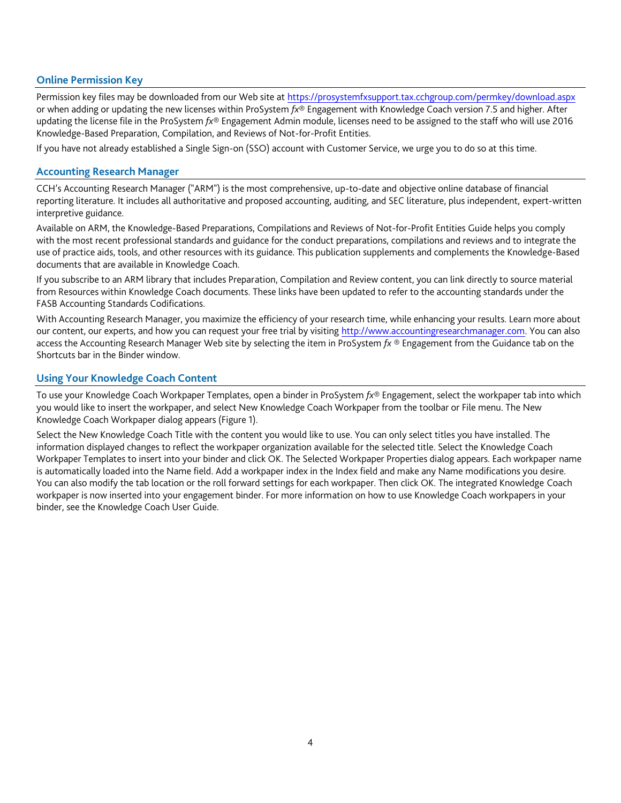## **Online Permission Key**

Permission key files may be downloaded from our Web site a[t https://prosystemfxsupport.tax.cchgroup.com/permkey/download.aspx](https://prosystemfxsupport.tax.cchgroup.com/permkey/download.aspx) or when adding or updating the new licenses within ProSystem *fx*® Engagement with Knowledge Coach version 7.5 and higher. After updating the license file in the ProSystem *fx*® Engagement Admin module, licenses need to be assigned to the staff who will use 2016 Knowledge-Based Preparation, Compilation, and Reviews of Not-for-Profit Entities.

If you have not already established a Single Sign-on (SSO) account with Customer Service, we urge you to do so at this time.

#### **Accounting Research Manager**

CCH's Accounting Research Manager ("ARM") is the most comprehensive, up-to-date and objective online database of financial reporting literature. It includes all authoritative and proposed accounting, auditing, and SEC literature, plus independent, expert-written interpretive guidance.

Available on ARM, the Knowledge-Based Preparations, Compilations and Reviews of Not-for-Profit Entities Guide helps you comply with the most recent professional standards and guidance for the conduct preparations, compilations and reviews and to integrate the use of practice aids, tools, and other resources with its guidance. This publication supplements and complements the Knowledge-Based documents that are available in Knowledge Coach.

If you subscribe to an ARM library that includes Preparation, Compilation and Review content, you can link directly to source material from Resources within Knowledge Coach documents. These links have been updated to refer to the accounting standards under the FASB Accounting Standards Codifications.

With Accounting Research Manager, you maximize the efficiency of your research time, while enhancing your results. Learn more about our content, our experts, and how you can request your free trial by visiting [http://www.accountingresearchmanager.com.](http://www.accountingresearchmanager.com/) You can also access the Accounting Research Manager Web site by selecting the item in ProSystem *fx* ® Engagement from the Guidance tab on the Shortcuts bar in the Binder window.

## **Using Your Knowledge Coach Content**

To use your Knowledge Coach Workpaper Templates, open a binder in ProSystem *fx*® Engagement, select the workpaper tab into which you would like to insert the workpaper, and select New Knowledge Coach Workpaper from the toolbar or File menu. The New Knowledge Coach Workpaper dialog appears (Figure 1).

Select the New Knowledge Coach Title with the content you would like to use. You can only select titles you have installed. The information displayed changes to reflect the workpaper organization available for the selected title. Select the Knowledge Coach Workpaper Templates to insert into your binder and click OK. The Selected Workpaper Properties dialog appears. Each workpaper name is automatically loaded into the Name field. Add a workpaper index in the Index field and make any Name modifications you desire. You can also modify the tab location or the roll forward settings for each workpaper. Then click OK. The integrated Knowledge Coach workpaper is now inserted into your engagement binder. For more information on how to use Knowledge Coach workpapers in your binder, see the Knowledge Coach User Guide.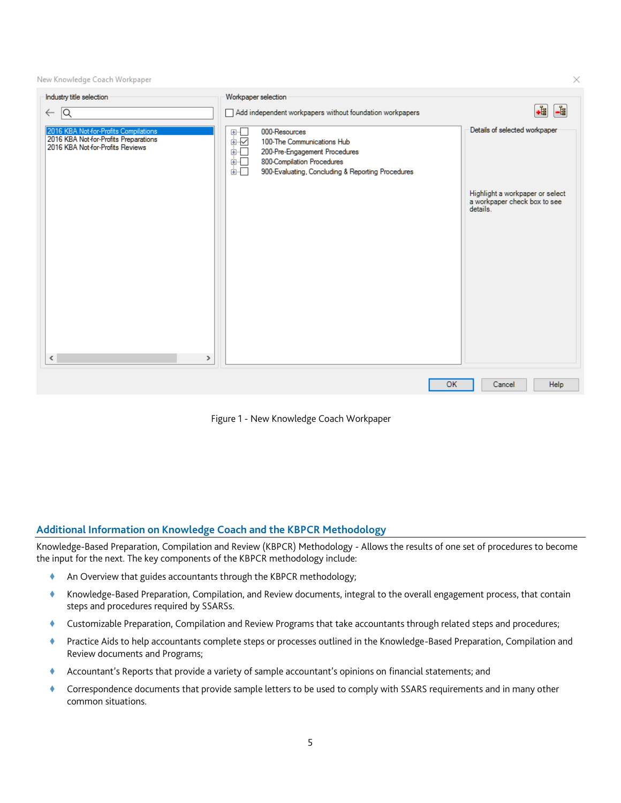New Knowledge Coach Workpaper

| Industry title selection                                                                                           | Workpaper selection                                                                                                                                                                                                                                            |                                                                             |
|--------------------------------------------------------------------------------------------------------------------|----------------------------------------------------------------------------------------------------------------------------------------------------------------------------------------------------------------------------------------------------------------|-----------------------------------------------------------------------------|
| Q<br>$\leftarrow$                                                                                                  | Add independent workpapers without foundation workpapers                                                                                                                                                                                                       | -1<br>$\frac{1}{\sqrt{2}}$                                                  |
| 2016 KBA Not-for-Profits Compilations<br>2016 KBA Not-for-Profits Preparations<br>2016 KBA Not-for-Profits Reviews | $\begin{array}{c} \square \vdash \square \ \square \ \square \end{array}$<br>000-Resources<br>100-The Communications Hub<br>ėĐ<br>200-Pre-Engagement Procedures<br>800-Compilation Procedures<br>ė−<br>面一<br>900-Evaluating, Concluding & Reporting Procedures | Details of selected workpaper                                               |
|                                                                                                                    |                                                                                                                                                                                                                                                                | Highlight a workpaper or select<br>a workpaper check box to see<br>details. |
|                                                                                                                    |                                                                                                                                                                                                                                                                |                                                                             |
|                                                                                                                    |                                                                                                                                                                                                                                                                |                                                                             |
|                                                                                                                    |                                                                                                                                                                                                                                                                |                                                                             |
|                                                                                                                    |                                                                                                                                                                                                                                                                |                                                                             |
| $\,$ $\,$<br>$\rightarrow$                                                                                         |                                                                                                                                                                                                                                                                |                                                                             |
|                                                                                                                    | <b>OK</b>                                                                                                                                                                                                                                                      | Help<br>Cancel                                                              |
|                                                                                                                    |                                                                                                                                                                                                                                                                |                                                                             |

Figure 1 - New Knowledge Coach Workpaper

# **Additional Information on Knowledge Coach and the KBPCR Methodology**

Knowledge-Based Preparation, Compilation and Review (KBPCR) Methodology - Allows the results of one set of procedures to become the input for the next. The key components of the KBPCR methodology include:

- An Overview that guides accountants through the KBPCR methodology;
- Knowledge-Based Preparation, Compilation, and Review documents, integral to the overall engagement process, that contain steps and procedures required by SSARSs.
- Customizable Preparation, Compilation and Review Programs that take accountants through related steps and procedures;
- Practice Aids to help accountants complete steps or processes outlined in the Knowledge-Based Preparation, Compilation and Review documents and Programs;
- Accountant's Reports that provide a variety of sample accountant's opinions on financial statements; and
- Correspondence documents that provide sample letters to be used to comply with SSARS requirements and in many other common situations.

 $\times$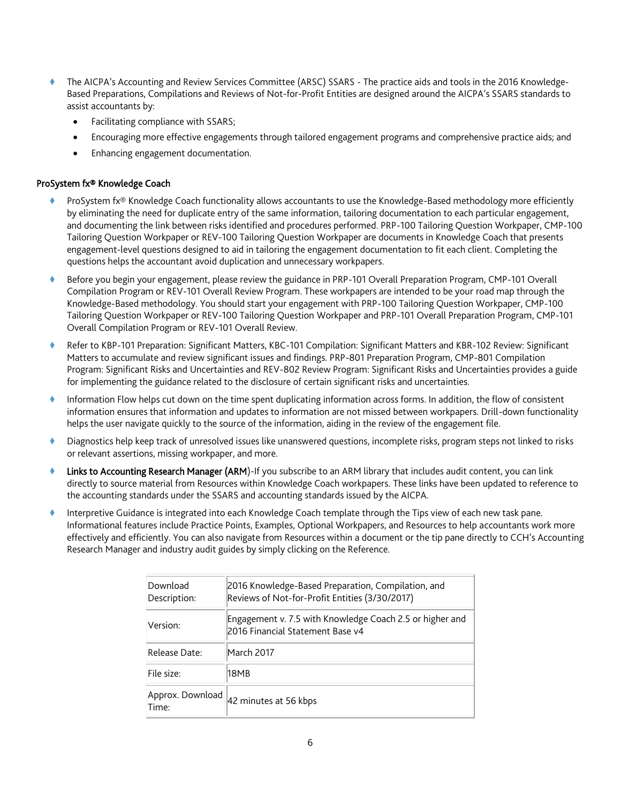- The AICPA's Accounting and Review Services Committee (ARSC) SSARS The practice aids and tools in the 2016 Knowledge-Based Preparations, Compilations and Reviews of Not-for-Profit Entities are designed around the AICPA's SSARS standards to assist accountants by:
	- Facilitating compliance with SSARS;
	- Encouraging more effective engagements through tailored engagement programs and comprehensive practice aids; and
	- Enhancing engagement documentation.

## ProSystem fx® Knowledge Coach

- ProSystem fx® Knowledge Coach functionality allows accountants to use the Knowledge-Based methodology more efficiently by eliminating the need for duplicate entry of the same information, tailoring documentation to each particular engagement, and documenting the link between risks identified and procedures performed. PRP-100 Tailoring Question Workpaper, CMP-100 Tailoring Question Workpaper or REV-100 Tailoring Question Workpaper are documents in Knowledge Coach that presents engagement-level questions designed to aid in tailoring the engagement documentation to fit each client. Completing the questions helps the accountant avoid duplication and unnecessary workpapers.
- Before you begin your engagement, please review the guidance in PRP-101 Overall Preparation Program, CMP-101 Overall Compilation Program or REV-101 Overall Review Program. These workpapers are intended to be your road map through the Knowledge-Based methodology. You should start your engagement with PRP-100 Tailoring Question Workpaper, CMP-100 Tailoring Question Workpaper or REV-100 Tailoring Question Workpaper and PRP-101 Overall Preparation Program, CMP-101 Overall Compilation Program or REV-101 Overall Review.
- Refer to KBP-101 Preparation: Significant Matters, KBC-101 Compilation: Significant Matters and KBR-102 Review: Significant Matters to accumulate and review significant issues and findings. PRP-801 Preparation Program, CMP-801 Compilation Program: Significant Risks and Uncertainties and REV-802 Review Program: Significant Risks and Uncertainties provides a guide for implementing the guidance related to the disclosure of certain significant risks and uncertainties.
- Information Flow helps cut down on the time spent duplicating information across forms. In addition, the flow of consistent information ensures that information and updates to information are not missed between workpapers. Drill-down functionality helps the user navigate quickly to the source of the information, aiding in the review of the engagement file.
- Diagnostics help keep track of unresolved issues like unanswered questions, incomplete risks, program steps not linked to risks or relevant assertions, missing workpaper, and more.
- Links to Accounting Research Manager (ARM)-If you subscribe to an ARM library that includes audit content, you can link directly to source material from Resources within Knowledge Coach workpapers. These links have been updated to reference to the accounting standards under the SSARS and accounting standards issued by the AICPA.
- Interpretive Guidance is integrated into each Knowledge Coach template through the Tips view of each new task pane. Informational features include Practice Points, Examples, Optional Workpapers, and Resources to help accountants work more effectively and efficiently. You can also navigate from Resources within a document or the tip pane directly to CCH's Accounting Research Manager and industry audit guides by simply clicking on the Reference.

| Download<br>Description:  | 2016 Knowledge-Based Preparation, Compilation, and<br>Reviews of Not-for-Profit Entities (3/30/2017) |
|---------------------------|------------------------------------------------------------------------------------------------------|
| Version:                  | Engagement v. 7.5 with Knowledge Coach 2.5 or higher and<br>2016 Financial Statement Base v4         |
| Release Date:             | March 2017                                                                                           |
| File size:                | 18MB                                                                                                 |
| Approx. Download<br>Time: | 42 minutes at 56 kbps                                                                                |